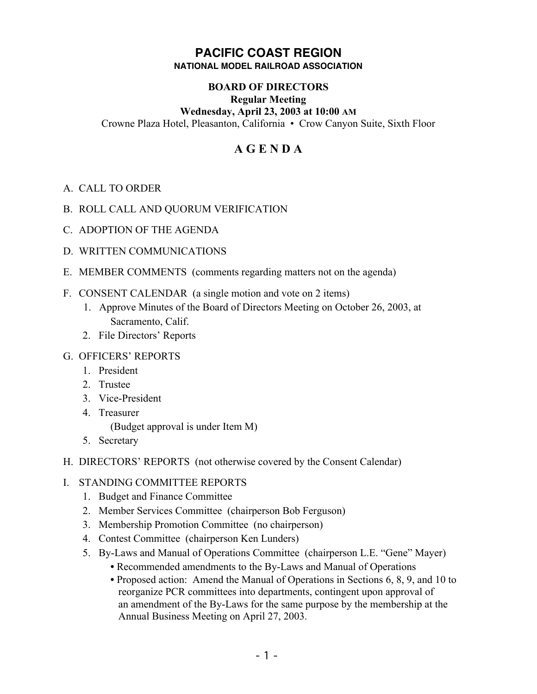## **PACIFIC COAST REGION NATIONAL MODEL RAILROAD ASSOCIATION**

# **BOARD OF DIRECTORS**

### **Regular Meeting**

## **Wednesday, April 23, 2003 at 10:00 AM**

Crowne Plaza Hotel, Pleasanton, California • Crow Canyon Suite, Sixth Floor

# **A G E N D A**

- A. CALL TO ORDER
- B. ROLL CALL AND QUORUM VERIFICATION
- C. ADOPTION OF THE AGENDA
- D. WRITTEN COMMUNICATIONS
- E. MEMBER COMMENTS (comments regarding matters not on the agenda)
- F. CONSENT CALENDAR (a single motion and vote on 2 items)
	- 1. Approve Minutes of the Board of Directors Meeting on October 26, 2003, at Sacramento, Calif.
	- 2. File Directors' Reports

#### G. OFFICERS' REPORTS

- 1. President
- 2. Trustee
- 3. Vice-President
- 4. Treasurer

(Budget approval is under Item M)

- 5. Secretary
- H. DIRECTORS' REPORTS (not otherwise covered by the Consent Calendar)

## I. STANDING COMMITTEE REPORTS

- 1. Budget and Finance Committee
- 2. Member Services Committee (chairperson Bob Ferguson)
- 3. Membership Promotion Committee (no chairperson)
- 4. Contest Committee (chairperson Ken Lunders)
- 5. By-Laws and Manual of Operations Committee (chairperson L.E. "Gene" Mayer)
	- **•** Recommended amendments to the By-Laws and Manual of Operations
	- **•** Proposed action: Amend the Manual of Operations in Sections 6, 8, 9, and 10 to reorganize PCR committees into departments, contingent upon approval of an amendment of the By-Laws for the same purpose by the membership at the Annual Business Meeting on April 27, 2003.